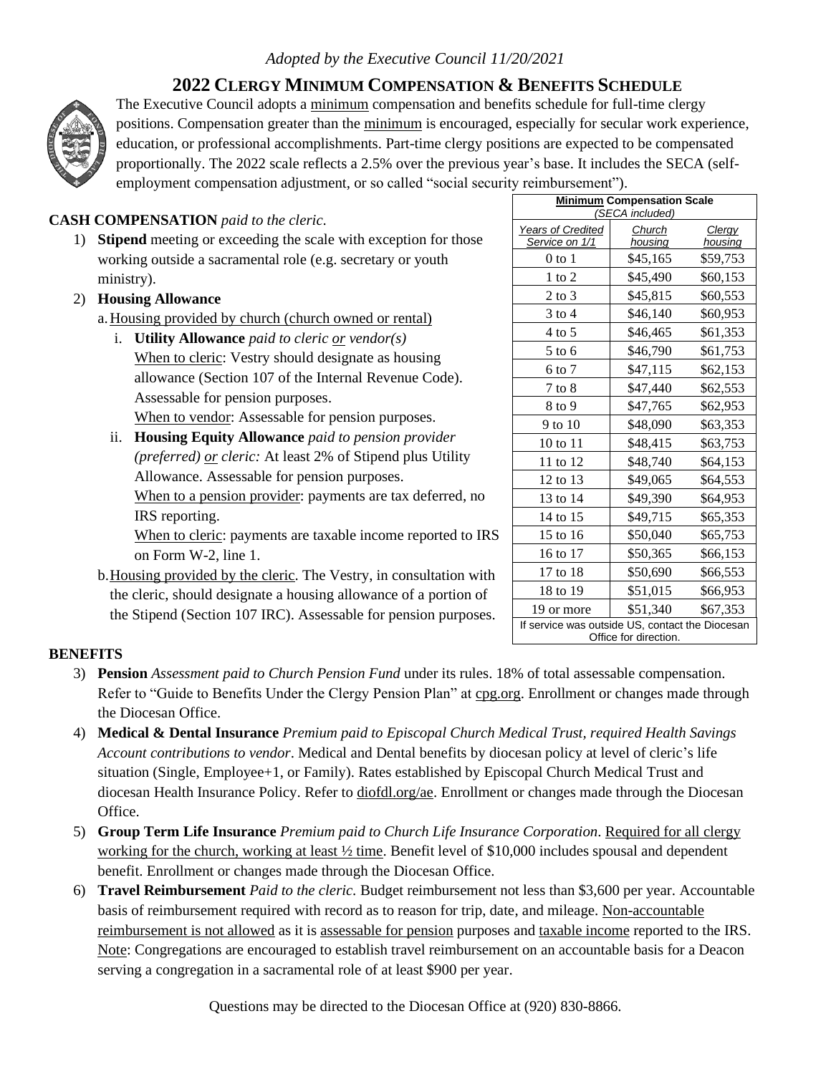# *Adopted by the Executive Council 11/20/2021*

# **2022 CLERGY MINIMUM COMPENSATION & BENEFITS SCHEDULE**



The Executive Council adopts a minimum compensation and benefits schedule for full-time clergy positions. Compensation greater than the minimum is encouraged, especially for secular work experience, education, or professional accomplishments. Part-time clergy positions are expected to be compensated proportionally. The 2022 scale reflects a 2.5% over the previous year's base. It includes the SECA (selfemployment compensation adjustment, or so called "social security reimbursement").

## **CASH COMPENSATION** *paid to the cleric.*

1) **Stipend** meeting or exceeding the scale with exception for those working outside a sacramental role (e.g. secretary or youth ministry).

### 2) **Housing Allowance**

- a.Housing provided by church (church owned or rental)
	- i. **Utility Allowance** *paid to cleric or vendor(s)* When to cleric: Vestry should designate as housing allowance (Section 107 of the Internal Revenue Code). Assessable for pension purposes. When to vendor: Assessable for pension purposes.
	- ii. **Housing Equity Allowance** *paid to pension provider (preferred) or cleric:* At least 2% of Stipend plus Utility Allowance. Assessable for pension purposes.

When to a pension provider: payments are tax deferred, no IRS reporting.

When to cleric: payments are taxable income reported to IRS on Form W-2, line 1.

b.Housing provided by the cleric. The Vestry, in consultation with the cleric, should designate a housing allowance of a portion of the Stipend (Section 107 IRC). Assessable for pension purposes.

| <b>Minimum Compensation Scale</b><br>(SECA included)                     |                   |                   |
|--------------------------------------------------------------------------|-------------------|-------------------|
| <b>Years of Credited</b><br>Service on 1/1                               | Church<br>housing | Clergy<br>housing |
| 0 to 1                                                                   | \$45,165          | \$59,753          |
| 1 to 2                                                                   | \$45,490          | \$60,153          |
| 2 to 3                                                                   | \$45,815          | \$60,553          |
| 3 to 4                                                                   | \$46,140          | \$60,953          |
| $4$ to 5                                                                 | \$46,465          | \$61,353          |
| $5$ to 6                                                                 | \$46,790          | \$61,753          |
| 6 to 7                                                                   | \$47,115          | \$62,153          |
| 7 to 8                                                                   | \$47,440          | \$62,553          |
| 8 to 9                                                                   | \$47,765          | \$62,953          |
| 9 to 10                                                                  | \$48,090          | \$63,353          |
| 10 to 11                                                                 | \$48,415          | \$63,753          |
| 11 to 12                                                                 | \$48,740          | \$64,153          |
| 12 to 13                                                                 | \$49,065          | \$64,553          |
| 13 to 14                                                                 | \$49,390          | \$64,953          |
| 14 to 15                                                                 | \$49,715          | \$65,353          |
| 15 to 16                                                                 | \$50,040          | \$65,753          |
| 16 to 17                                                                 | \$50,365          | \$66,153          |
| 17 to 18                                                                 | \$50,690          | \$66,553          |
| 18 to 19                                                                 | \$51,015          | \$66,953          |
| 19 or more                                                               | \$51,340          | \$67,353          |
| If service was outside US, contact the Diocesan<br>Office for direction. |                   |                   |

### **BENEFITS**

- 3) **Pension** *Assessment paid to Church Pension Fund* under its rules. 18% of total assessable compensation. Refer to "Guide to Benefits Under the Clergy Pension Plan" at cpg.org. Enrollment or changes made through the Diocesan Office.
- 4) **Medical & Dental Insurance** *Premium paid to Episcopal Church Medical Trust, required Health Savings Account contributions to vendor*. Medical and Dental benefits by diocesan policy at level of cleric's life situation (Single, Employee+1, or Family). Rates established by Episcopal Church Medical Trust and diocesan Health Insurance Policy. Refer to diofdl.org/ae. Enrollment or changes made through the Diocesan Office.
- 5) **Group Term Life Insurance** *Premium paid to Church Life Insurance Corporation*. Required for all clergy working for the church, working at least ½ time. Benefit level of \$10,000 includes spousal and dependent benefit. Enrollment or changes made through the Diocesan Office.
- 6) **Travel Reimbursement** *Paid to the cleric.* Budget reimbursement not less than \$3,600 per year. Accountable basis of reimbursement required with record as to reason for trip, date, and mileage. Non-accountable reimbursement is not allowed as it is assessable for pension purposes and taxable income reported to the IRS. Note: Congregations are encouraged to establish travel reimbursement on an accountable basis for a Deacon serving a congregation in a sacramental role of at least \$900 per year.

Questions may be directed to the Diocesan Office at (920) 830-8866.